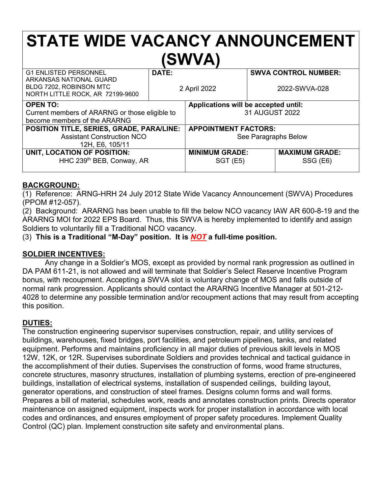# **STATE WIDE VACANCY ANNOUNCEMENT (SWVA)**

| <b>G1 ENLISTED PERSONNEL</b><br>ARKANSAS NATIONAL GUARD     | DATE:        |                                      | <b>SWVA CONTROL NUMBER:</b> |                       |
|-------------------------------------------------------------|--------------|--------------------------------------|-----------------------------|-----------------------|
| BLDG 7202, ROBINSON MTC<br>NORTH LITTLE ROCK, AR 72199-9600 | 2 April 2022 |                                      | 2022-SWVA-028               |                       |
| <b>OPEN TO:</b>                                             |              | Applications will be accepted until: |                             |                       |
| Current members of ARARNG or those eligible to              |              | 31 AUGUST 2022                       |                             |                       |
| become members of the ARARNG                                |              |                                      |                             |                       |
| POSITION TITLE, SERIES, GRADE, PARA/LINE:                   |              | <b>APPOINTMENT FACTORS:</b>          |                             |                       |
| <b>Assistant Construction NCO</b>                           |              | See Paragraphs Below                 |                             |                       |
| 12H, E6, 105/11                                             |              |                                      |                             |                       |
| UNIT, LOCATION OF POSITION:                                 |              | <b>MINIMUM GRADE:</b>                |                             | <b>MAXIMUM GRADE:</b> |
| HHC 239 <sup>th</sup> BEB, Conway, AR                       |              | SGT(E5)                              |                             | SSG (E6)              |
|                                                             |              |                                      |                             |                       |

### **BACKGROUND:**

(1) Reference: ARNG-HRH 24 July 2012 State Wide Vacancy Announcement (SWVA) Procedures (PPOM #12-057).

(2) Background: ARARNG has been unable to fill the below NCO vacancy IAW AR 600-8-19 and the ARARNG MOI for 2022 EPS Board. Thus, this SWVA is hereby implemented to identify and assign Soldiers to voluntarily fill a Traditional NCO vacancy.

(3) **This is a Traditional "M-Day" position. It is** *NOT* **a full-time position.**

# **SOLDIER INCENTIVES:**

Any change in a Soldier's MOS, except as provided by normal rank progression as outlined in DA PAM 611-21, is not allowed and will terminate that Soldier's Select Reserve Incentive Program bonus, with recoupment. Accepting a SWVA slot is voluntary change of MOS and falls outside of normal rank progression. Applicants should contact the ARARNG Incentive Manager at 501-212- 4028 to determine any possible termination and/or recoupment actions that may result from accepting this position.

# **DUTIES:**

The construction engineering supervisor supervises construction, repair, and utility services of buildings, warehouses, fixed bridges, port facilities, and petroleum pipelines, tanks, and related equipment. Performs and maintains proficiency in all major duties of previous skill levels in MOS 12W, 12K, or 12R. Supervises subordinate Soldiers and provides technical and tactical guidance in the accomplishment of their duties. Supervises the construction of forms, wood frame structures, concrete structures, masonry structures, installation of plumbing systems, erection of pre-engineered buildings, installation of electrical systems, installation of suspended ceilings, building layout, generator operations, and construction of steel frames. Designs column forms and wall forms. Prepares a bill of material, schedules work, reads and annotates construction prints. Directs operator maintenance on assigned equipment, inspects work for proper installation in accordance with local codes and ordinances, and ensures employment of proper safety procedures. Implement Quality Control (QC) plan. Implement construction site safety and environmental plans.